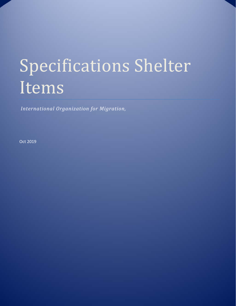# Specifications Shelter Items

*International Organization for Migration,* 

Oct 2019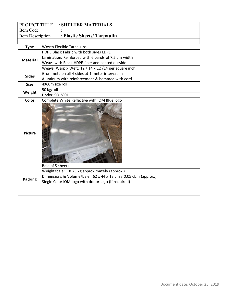| PROJECT TITLE    | : SHELTER MATERIALS                                                                                                                                                                        |
|------------------|--------------------------------------------------------------------------------------------------------------------------------------------------------------------------------------------|
| Item Code        |                                                                                                                                                                                            |
| Item Description | : Plastic Sheets/ Tarpaulin                                                                                                                                                                |
|                  |                                                                                                                                                                                            |
| <b>Type</b>      | Woven Flexible Tarpaulins                                                                                                                                                                  |
|                  | HDPE Black Fabric with both sides LDPE                                                                                                                                                     |
| <b>Material</b>  | Lamination, Reinforced with 6 bands of 7.5 cm width                                                                                                                                        |
|                  | Weave with Black HDPE fiber and coated outside                                                                                                                                             |
|                  | Weave: Warp x Weft: 12 / 14 x 12 / 14 per square inch                                                                                                                                      |
| <b>Sides</b>     | Grommets on all 4 sides at 1 meter intervals in                                                                                                                                            |
|                  | Aluminum with reinforcement & hemmed with cord                                                                                                                                             |
| <b>Size</b>      | 4X60m size roll                                                                                                                                                                            |
| Weight           | 50 kg/roll                                                                                                                                                                                 |
|                  | Under ISO 3801                                                                                                                                                                             |
| Color            | Complete White Reflective with IOM Blue logo                                                                                                                                               |
| <b>Picture</b>   |                                                                                                                                                                                            |
| Packing          | Bale of 5 sheets<br>Weight/bale: 18.75 kg approximately (approx.)<br>Dimensions & Volume/bale: 62 x 44 x 18 cm / 0.05 cbm (approx.)<br>Single Color IOM logo with donor logo (if required) |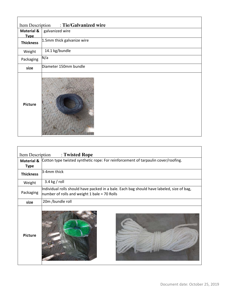| Item Description : Tie/Galvanized wire |                            |
|----------------------------------------|----------------------------|
| <b>Material &amp;</b>                  | galvanized wire            |
| <b>Type</b>                            |                            |
| <b>Thickness</b>                       | 1.5mm thick galvanize wire |
| Weight                                 | 14.1 kg/bundle             |
| Packaging                              | N/a                        |
| size                                   | Diameter 150mm bundle      |
| Picture                                |                            |

| Item Description | : Twisted Rope                                                                                                                            |
|------------------|-------------------------------------------------------------------------------------------------------------------------------------------|
|                  | Material & Cotton type twisted synthetic rope: For reinforcement of tarpaulin cover/roofing.                                              |
| <b>Type</b>      |                                                                                                                                           |
| <b>Thickness</b> | 3-4mm thick                                                                                                                               |
| Weight           | $3.4$ kg / roll                                                                                                                           |
| Packaging        | Individual rolls should have packed in a bale. Each bag should have labeled, size of bag,<br>number of rolls and weight 1 bale = 70 Rolls |
| size             | 20m /bundle roll                                                                                                                          |
| <b>Picture</b>   |                                                                                                                                           |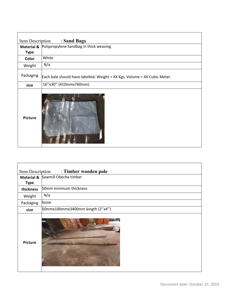| : Sand Bags<br>Item Description |                                                                          |
|---------------------------------|--------------------------------------------------------------------------|
| <b>Material &amp;</b>           | Polypropylene Sandbag in thick weaving                                   |
| <b>Type</b>                     |                                                                          |
| Color                           | White                                                                    |
| Weight                          | N/a                                                                      |
| Packaging                       | Each bale should have labelled: Weight = XX Kgs, Volume = XX Cubic Meter |
| size                            | 16"x30" (410mmx760mm)                                                    |
| Picture                         |                                                                          |

 $\Gamma$ 

г

| : Timber wooden pole<br>Item Description |                                  |
|------------------------------------------|----------------------------------|
|                                          | Material & Sawmill Obeche timber |
| <b>Type</b>                              |                                  |
| thickness                                | 50mm minimum thickness           |
| Weight                                   | N/a                              |
| Packaging                                | loose                            |
| size                                     | 50mmx100mmx3400mm length (2"x4") |
| <b>Picture</b>                           |                                  |

٦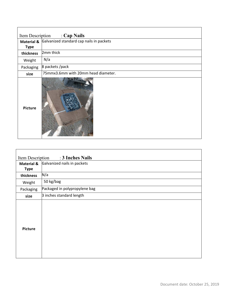| : Cap Nails<br>Item Description |                                                     |
|---------------------------------|-----------------------------------------------------|
|                                 | Material & Galvanized standard cap nails in packets |
| <b>Type</b>                     |                                                     |
| thickness                       | 2mm thick                                           |
| Weight                          | N/a                                                 |
| Packaging                       | 8 packets / pack                                    |
| size                            | 75mmx3.6mm with 20mm head diameter.                 |
| <b>Picture</b>                  |                                                     |

Ē

| : 3 Inches Nails<br>Item Description |                               |
|--------------------------------------|-------------------------------|
| <b>Material &amp;</b>                | Galvanized nails in packets   |
| <b>Type</b>                          |                               |
| thickness                            | N/a                           |
| Weight                               | 50 kg/bag                     |
| Packaging                            | Packaged in polypropylene bag |
| size                                 | 3 inches standard length      |
| <b>Picture</b>                       |                               |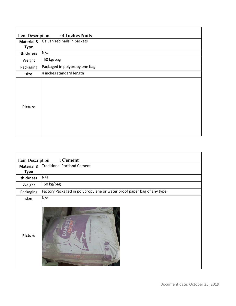| : 4 Inches Nails<br>Item Description |                               |
|--------------------------------------|-------------------------------|
| <b>Material &amp;</b>                | Galvanized nails in packets   |
| <b>Type</b>                          |                               |
| thickness                            | N/a                           |
| Weight                               | 50 kg/bag                     |
| Packaging                            | Packaged in polypropylene bag |
| size                                 | 4 inches standard length      |
| <b>Picture</b>                       |                               |

| : Cement<br>Item Description |                                                                         |
|------------------------------|-------------------------------------------------------------------------|
| <b>Material &amp;</b>        | Traditional Portland Cement                                             |
| <b>Type</b>                  |                                                                         |
| thickness                    | N/a                                                                     |
| Weight                       | 50 kg/bag                                                               |
| Packaging                    | Factory Packaged in polypropylene or water proof paper bag of any type. |
| size                         | N/a                                                                     |
| <b>Picture</b>               |                                                                         |

 $\mathbf{r}$ 

 $\overline{\phantom{0}}$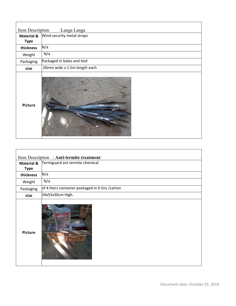| Item Description<br>:Langa Langa |                              |
|----------------------------------|------------------------------|
| <b>Material &amp;</b>            | Wind security metal straps   |
| <b>Type</b>                      |                              |
| thickness                        | N/a                          |
| Weight                           | N/a                          |
| Packaging                        | Packaged in bales and tied   |
| size                             | 20mm wide x 1.5m length each |
| Picture                          |                              |

| Item Description: Anti-termite treatment |                                                   |
|------------------------------------------|---------------------------------------------------|
| <b>Material &amp;</b>                    | Termiguard ant termite chemical                   |
| <b>Type</b>                              |                                                   |
| thickness                                | N/a                                               |
| Weight                                   | N/a                                               |
| Packaging                                | of 4 liters container packaged in 6 tins / carton |
| size                                     | 24x55x30cm High.                                  |
| <b>Picture</b>                           | TIGHARI                                           |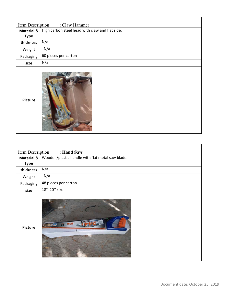| Item Description<br>: Claw Hammer |                                                 |
|-----------------------------------|-------------------------------------------------|
| <b>Material &amp;</b>             | High carbon steel head with claw and flat side. |
| <b>Type</b>                       |                                                 |
| thickness                         | N/a                                             |
| Weight                            | N/a                                             |
| Packaging                         | 60 pieces per carton                            |
| size                              | N/a                                             |
| <b>Picture</b>                    |                                                 |

| Item Description<br>: Hand Saw |                                                  |  |  |
|--------------------------------|--------------------------------------------------|--|--|
| <b>Material &amp;</b>          | Wooden/plastic handle with flat metal saw blade. |  |  |
| <b>Type</b>                    |                                                  |  |  |
| thickness                      | N/a                                              |  |  |
| Weight                         | N/a                                              |  |  |
| Packaging                      | 48 pieces per carton                             |  |  |
| size                           | 18"-20" size                                     |  |  |
| <b>Picture</b>                 | ODHVH                                            |  |  |

 $\overline{\phantom{0}}$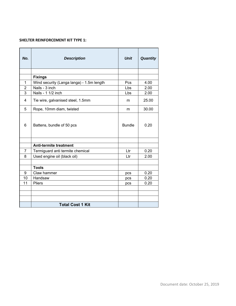#### **SHELTER REINFORCEMENT KIT TYPE 1:**

| No.                     | <b>Description</b>                        | <b>Unit</b>     | Quantity |
|-------------------------|-------------------------------------------|-----------------|----------|
|                         |                                           |                 |          |
|                         | <b>Fixings</b>                            |                 |          |
| $\mathbf 1$             | Wind security (Langa langa) - 1.5m length | Pcs             | 4.00     |
| $\overline{2}$          | Nails - 3 inch                            | L <sub>bs</sub> | 2.00     |
| 3                       | Nails - 1 1/2 inch                        | Lbs             | 2.00     |
| $\overline{\mathbf{4}}$ | Tie wire, galvanised steel, 1.5mm         | m               | 25.00    |
| 5                       | Rope, 10mm diam, twisted                  | m               | 30.00    |
| 6                       | Battens, bundle of 50 pcs                 | <b>Bundle</b>   | 0.20     |
|                         | <b>Anti-termite treatment</b>             |                 |          |
| 7                       | Termiguard anti termite chemical          | Ltr             | 0.20     |
| 8                       | Used engine oil (black oil)               | Ltr             | 2.00     |
|                         | <b>Tools</b>                              |                 |          |
| 9                       | Claw hammer                               | pcs             | 0.20     |
| 10                      | Handsaw                                   | pcs             | 0.20     |
| 11                      | Pliers                                    | pcs             | 0.20     |
|                         |                                           |                 |          |
|                         |                                           |                 |          |
|                         | <b>Total Cost 1 Kit</b>                   |                 |          |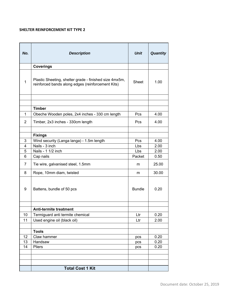## **SHELTER REINFORCEMENT KIT TYPE 2**

| No.            | <b>Description</b>                                                                                          | <b>Unit</b>   | Quantity |
|----------------|-------------------------------------------------------------------------------------------------------------|---------------|----------|
|                | <b>Coverings</b>                                                                                            |               |          |
| 1              | Plastic Sheeting, shelter grade - finished size 4mx5m,<br>reinforced bands along edges (reinforcement Kits) | Sheet         | 1.00     |
|                |                                                                                                             |               |          |
|                | <b>Timber</b>                                                                                               |               |          |
| $\mathbf{1}$   | Obeche Wooden poles, 2x4 inches - 330 cm length                                                             | Pcs           | 4.00     |
|                |                                                                                                             |               |          |
| $\overline{2}$ | Timber, 2x3 inches - 330cm length                                                                           | Pcs           | 4.00     |
|                |                                                                                                             |               |          |
|                | <b>Fixings</b>                                                                                              |               |          |
| 3              | Wind security (Langa langa) - 1.5m length                                                                   | Pcs           | 4.00     |
| 4              | Nails - 3 inch                                                                                              | Lbs           | 2.00     |
| 5              | Nails - 1 1/2 inch                                                                                          | Lbs           | 2.00     |
| 6              | Cap nails                                                                                                   | Packet        | 0.50     |
| 7              | Tie wire, galvanised steel, 1.5mm                                                                           | m             | 25.00    |
| 8              | Rope, 10mm diam, twisted                                                                                    | m             | 30.00    |
| 9              | Battens, bundle of 50 pcs                                                                                   | <b>Bundle</b> | 0.20     |
|                | <b>Anti-termite treatment</b>                                                                               |               |          |
| 10             | Termiguard anti termite chemical                                                                            | ∟tr⊣          | 0.20     |
| 11             | Used engine oil (black oil)                                                                                 | Ltr           | 2.00     |
|                |                                                                                                             |               |          |
|                | <b>Tools</b>                                                                                                |               |          |
| 12             | Claw hammer                                                                                                 | pcs           | 0.20     |
| 13             | Handsaw                                                                                                     | pcs           | 0.20     |
| 14             | Pliers                                                                                                      | pcs           | 0.20     |
|                |                                                                                                             |               |          |
|                |                                                                                                             |               |          |
|                |                                                                                                             |               |          |
|                | <b>Total Cost 1 Kit</b>                                                                                     |               |          |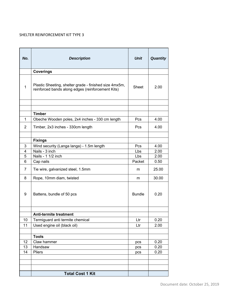### SHELTER REINFORCEMENT KIT TYPE 3

| No.            | <b>Description</b>                                                                                          | <b>Unit</b>   | Quantity |
|----------------|-------------------------------------------------------------------------------------------------------------|---------------|----------|
|                | <b>Coverings</b>                                                                                            |               |          |
| $\mathbf{1}$   | Plastic Sheeting, shelter grade - finished size 4mx5m,<br>reinforced bands along edges (reinforcement Kits) | Sheet         | 2.00     |
|                |                                                                                                             |               |          |
|                | <b>Timber</b>                                                                                               |               |          |
| $\mathbf{1}$   | Obeche Wooden poles, 2x4 inches - 330 cm length                                                             | Pcs           | 4.00     |
| $\overline{2}$ | Timber, 2x3 inches - 330cm length                                                                           | Pcs           | 4.00     |
|                | <b>Fixings</b>                                                                                              |               |          |
| 3              | Wind security (Langa langa) - 1.5m length                                                                   | Pcs           | 4.00     |
| 4              | Nails - 3 inch                                                                                              | Lbs           | 2.00     |
| 5              | Nails - 1 1/2 inch                                                                                          | Lbs.          | 2.00     |
| 6              | Cap nails                                                                                                   | Packet        | 0.50     |
| 7              | Tie wire, galvanized steel, 1.5mm                                                                           | m             | 25.00    |
| 8              | Rope, 10mm diam, twisted                                                                                    | m             | 30.00    |
| 9              | Battens, bundle of 50 pcs                                                                                   | <b>Bundle</b> | 0.20     |
|                | <b>Anti-termite treatment</b>                                                                               |               |          |
| 10             | Termiguard anti termite chemical                                                                            | Ltr           | 0.20     |
| 11             | Used engine oil (black oil)                                                                                 | Ltr           | 2.00     |
|                |                                                                                                             |               |          |
|                | <b>Tools</b>                                                                                                |               |          |
| 12             | Claw hammer                                                                                                 | <b>DCS</b>    | 0.20     |
| 13             | Handsaw                                                                                                     | pcs           | 0.20     |
| 14             | Pliers                                                                                                      | pcs           | 0.20     |
|                |                                                                                                             |               |          |
|                |                                                                                                             |               |          |
|                | <b>Total Cost 1 Kit</b>                                                                                     |               |          |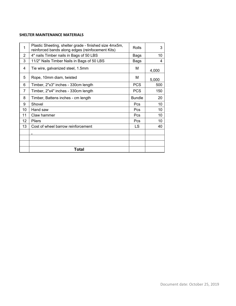# **SHELTER MAINTENANCE MATERIALS**

| 1              | Plastic Sheeting, shelter grade - finished size 4mx5m,<br>reinforced bands along edges (reinfocement Kits) | Rolls         | 3     |
|----------------|------------------------------------------------------------------------------------------------------------|---------------|-------|
| $\overline{2}$ | 4" nails Timber nails in Bags of 50 LBS                                                                    | Bags          | 10    |
| 3              | 11/2" Nails Timber Nails in Bags of 50 LBS                                                                 | Bags          | 4     |
| 4              | Tie wire, galvanized steel, 1.5mm                                                                          | М             | 4,000 |
| 5              | Rope, 10mm diam, twisted                                                                                   | М             | 5,000 |
| 6              | Timber, 2"x3" inches - 330cm length                                                                        | <b>PCS</b>    | 500   |
| 7              | Timber, 2"x4" inches - 330cm length                                                                        | <b>PCS</b>    | 150   |
| 8              | Timber, Battens inches - cm length                                                                         | <b>Bundle</b> | 20    |
| 9              | Shovel                                                                                                     | Pcs           | 10    |
| 10             | Hand saw                                                                                                   | Pcs           | 10    |
| 11             | Claw hammer                                                                                                | Pcs           | 10    |
| 12             | <b>Pliers</b>                                                                                              | Pcs           | 10    |
| 13             | Cost of wheel barrow reinforcement                                                                         | LS            | 40    |
|                |                                                                                                            |               |       |
|                |                                                                                                            |               |       |
|                |                                                                                                            |               |       |
|                | Total                                                                                                      |               |       |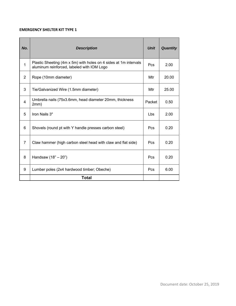#### **EMERGENCY SHELTER KIT TYPE 1**

| No.            | <b>Description</b>                                                                                             | <b>Unit</b> | <b>Quantity</b> |
|----------------|----------------------------------------------------------------------------------------------------------------|-------------|-----------------|
| $\mathbf{1}$   | Plastic Sheeting (4m x 5m) with holes on 4 sides at 1m intervals<br>aluminum reinforced, labeled with IOM Logo | Pcs         | 2.00            |
| 2              | Rope (10mm diameter)                                                                                           | Mtr         | 20.00           |
| 3              | Tie/Galvanized Wire (1.5mm diameter)                                                                           | Mtr         | 25.00           |
| $\overline{4}$ | Umbrella nails (75x3.6mm, head diameter 20mm, thickness<br>2mm)                                                | Packet      | 0.50            |
| 5              | Iron Nails 3"                                                                                                  | <b>Lbs</b>  | 2.00            |
| 6              | Shovels (round pt with Y handle presses carbon steel)                                                          | <b>Pcs</b>  | 0.20            |
| $\overline{7}$ | Claw hammer (high carbon steel head with claw and flat side)                                                   | Pcs         | 0.20            |
| 8              | Handsaw (18" - 20")                                                                                            | Pcs         | 0.20            |
| 9              | Lumber poles (2x4 hardwood timber; Obeche)                                                                     | Pcs         | 6.00            |
|                | Total                                                                                                          |             |                 |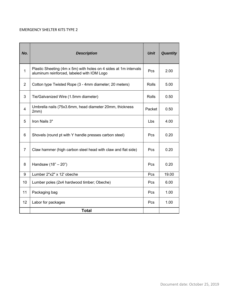#### EMERGENCY SHELTER KITS TYPE 2

| No.            | <b>Description</b>                                                                                             | <b>Unit</b>  | <b>Quantity</b> |
|----------------|----------------------------------------------------------------------------------------------------------------|--------------|-----------------|
| $\mathbf 1$    | Plastic Sheeting (4m x 5m) with holes on 4 sides at 1m intervals<br>aluminum reinforced, labeled with IOM Logo | Pcs          | 2.00            |
| 2              | Cotton type Twisted Rope (3 - 4mm diameter; 20 meters)                                                         | Rolls        | 5.00            |
| 3              | Tie/Galvanized Wire (1.5mm diameter)                                                                           | <b>Rolls</b> | 0.50            |
| 4              | Umbrella nails (75x3.6mm, head diameter 20mm, thickness<br>2mm)                                                | Packet       | 0.50            |
| 5              | Iron Nails 3"                                                                                                  | Lbs          | 4.00            |
| 6              | Shovels (round pt with Y handle presses carbon steel)                                                          | Pcs.         | 0.20            |
| $\overline{7}$ | Claw hammer (high carbon steel head with claw and flat side)                                                   | Pcs          | 0.20            |
| 8              | Handsaw (18" - 20")                                                                                            | Pcs.         | 0.20            |
| 9              | Lumber 2"x2" x 12' obeche                                                                                      | Pcs          | 19.00           |
| 10             | Lumber poles (2x4 hardwood timber; Obeche)                                                                     | Pcs.         | 6.00            |
| 11             | Packaging bag                                                                                                  | Pcs          | 1.00            |
| 12             | Labor for packages                                                                                             | Pcs          | 1.00            |
|                | <b>Total</b>                                                                                                   |              |                 |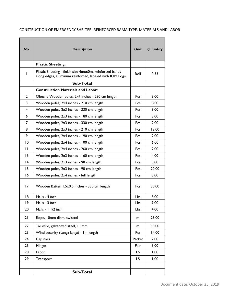| No.             | <b>Description</b>                                                                                                 | Unit       | Quantity |
|-----------------|--------------------------------------------------------------------------------------------------------------------|------------|----------|
|                 | <b>Plastic Sheeting:</b>                                                                                           |            |          |
| L               | Plastic Sheeting - finish size 4mx60m, reinforced bands<br>along edges, aluminum reinforced, labeled with IOM Logo | Roll       | 0.33     |
|                 | Sub-Total                                                                                                          |            |          |
|                 | <b>Construction Materials and Labor:</b>                                                                           |            |          |
| $\mathbf{2}$    | Obeche Wooden poles, 2x4 inches - 280 cm length                                                                    | Pcs        | 3.00     |
| 3               | Wooden poles, 2x4 inches - 210 cm length                                                                           | <b>Pcs</b> | 8.00     |
| 4               | Wooden poles, 2x3 inches - 330 cm length                                                                           | <b>Pcs</b> | 8.00     |
| 6               | Wooden poles, 2x3 inches - 180 cm length                                                                           | <b>Pcs</b> | 3.00     |
| 7               | Wooden poles, 2x3 inches - 330 cm length                                                                           | Pcs        | 2.00     |
| 8               | Wooden poles, 2x3 inches - 210 cm length                                                                           | Pcs        | 12.00    |
| 9               | Wooden poles, 2x4 inches - 190 cm length                                                                           | <b>Pcs</b> | 2.00     |
| 10              | Wooden poles, 2x4 inches - 100 cm length                                                                           | <b>Pcs</b> | 6.00     |
| П               | Wooden poles, 2x4 inches - 260 cm length                                                                           | <b>Pcs</b> | 2.00     |
| $\overline{13}$ | Wooden poles, 2x3 inches - 160 cm length                                                                           | <b>Pcs</b> | 4.00     |
| 14              | Wooden poles, 2x3 inches - 90 cm length                                                                            | Pcs        | 8.00     |
| 15              | Wooden poles, 2x3 inches - 90 cm length                                                                            | Pcs        | 20.00    |
| 16              | Wooden poles, 2x4 inches - full length                                                                             | Pcs        | 3.00     |
| 17              | Wooden Batten 1.5x0.5 inches - 330 cm length                                                                       | <b>Pcs</b> | 30.00    |
| 18              | Nails - 4 inch                                                                                                     | <b>Lbs</b> | 5.00     |
| 19              | Nails - 3 inch                                                                                                     | Lbs        | 9.00     |
| 20              | Nails - 1 1/2 inch                                                                                                 | Lbs        | 4.00     |
| 21              | Rope, 10mm diam, twisted                                                                                           | m          | 25.00    |
| 22              | Tie wire, galvanized steel, 1.5mm                                                                                  | m          | 50.00    |
| 23              | Wind security (Langa langa) - Im length                                                                            | <b>Pcs</b> | 14.00    |
| 24              | Cap nails                                                                                                          | Packet     | 2.00     |
| 25              | Hinges                                                                                                             | Pair       | 5.00     |
| 28              | Labor                                                                                                              | LS.        | 1.00     |
| 29              | Transport                                                                                                          | LS.        | 1.00     |
|                 | Sub-Total                                                                                                          |            |          |

# CONSTRUCTION OF EMERGENCY SHELTER: REINFORCED BAMA TYPE. MATERIALS AND LABOR